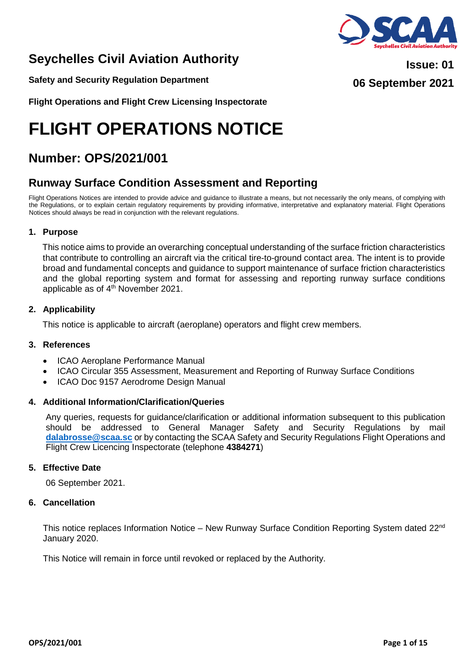# **Seychelles Civil Aviation Authority**

**Safety and Security Regulation Department**

**Flight Operations and Flight Crew Licensing Inspectorate**

# **FLIGHT OPERATIONS NOTICE**

# **Number: OPS/2021/001**

# **Runway Surface Condition Assessment and Reporting**

Flight Operations Notices are intended to provide advice and guidance to illustrate a means, but not necessarily the only means, of complying with the Regulations, or to explain certain regulatory requirements by providing informative, interpretative and explanatory material. Flight Operations Notices should always be read in conjunction with the relevant regulations.

# **1. Purpose**

This notice aims to provide an overarching conceptual understanding of the surface friction characteristics that contribute to controlling an aircraft via the critical tire-to-ground contact area. The intent is to provide broad and fundamental concepts and guidance to support maintenance of surface friction characteristics and the global reporting system and format for assessing and reporting runway surface conditions applicable as of 4<sup>th</sup> November 2021.

# **2. Applicability**

This notice is applicable to aircraft (aeroplane) operators and flight crew members.

# **3. References**

- ICAO Aeroplane Performance Manual
- ICAO Circular 355 Assessment, Measurement and Reporting of Runway Surface Conditions
- ICAO Doc 9157 Aerodrome Design Manual

# **4. Additional Information/Clarification/Queries**

Any queries, requests for guidance/clarification or additional information subsequent to this publication should be addressed to General Manager Safety and Security Regulations by mail **[dalabrosse@scaa.sc](mailto:dalabrosse@scaa.sc)** or by contacting the SCAA Safety and Security Regulations Flight Operations and Flight Crew Licencing Inspectorate (telephone **4384271**)

# **5. Effective Date**

06 September 2021.

#### **6. Cancellation**

This notice replaces Information Notice – New Runway Surface Condition Reporting System dated  $22<sup>nd</sup>$ January 2020.

This Notice will remain in force until revoked or replaced by the Authority.

**06 September 2021**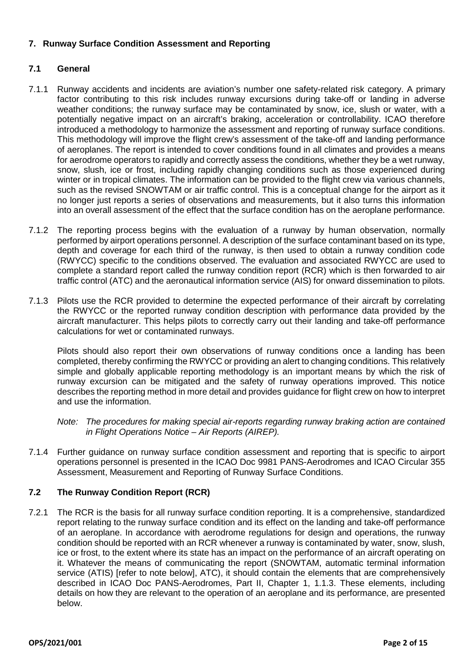# **7. Runway Surface Condition Assessment and Reporting**

# **7.1 General**

- 7.1.1 Runway accidents and incidents are aviation's number one safety-related risk category. A primary factor contributing to this risk includes runway excursions during take-off or landing in adverse weather conditions; the runway surface may be contaminated by snow, ice, slush or water, with a potentially negative impact on an aircraft's braking, acceleration or controllability. ICAO therefore introduced a methodology to harmonize the assessment and reporting of runway surface conditions. This methodology will improve the flight crew's assessment of the take-off and landing performance of aeroplanes. The report is intended to cover conditions found in all climates and provides a means for aerodrome operators to rapidly and correctly assess the conditions, whether they be a wet runway, snow, slush, ice or frost, including rapidly changing conditions such as those experienced during winter or in tropical climates. The information can be provided to the flight crew via various channels, such as the revised SNOWTAM or air traffic control. This is a conceptual change for the airport as it no longer just reports a series of observations and measurements, but it also turns this information into an overall assessment of the effect that the surface condition has on the aeroplane performance.
- 7.1.2 The reporting process begins with the evaluation of a runway by human observation, normally performed by airport operations personnel. A description of the surface contaminant based on its type, depth and coverage for each third of the runway, is then used to obtain a runway condition code (RWYCC) specific to the conditions observed. The evaluation and associated RWYCC are used to complete a standard report called the runway condition report (RCR) which is then forwarded to air traffic control (ATC) and the aeronautical information service (AIS) for onward dissemination to pilots.
- 7.1.3 Pilots use the RCR provided to determine the expected performance of their aircraft by correlating the RWYCC or the reported runway condition description with performance data provided by the aircraft manufacturer. This helps pilots to correctly carry out their landing and take-off performance calculations for wet or contaminated runways.

Pilots should also report their own observations of runway conditions once a landing has been completed, thereby confirming the RWYCC or providing an alert to changing conditions. This relatively simple and globally applicable reporting methodology is an important means by which the risk of runway excursion can be mitigated and the safety of runway operations improved. This notice describes the reporting method in more detail and provides guidance for flight crew on how to interpret and use the information.

- *Note: The procedures for making special air-reports regarding runway braking action are contained in Flight Operations Notice – Air Reports (AIREP).*
- 7.1.4 Further guidance on runway surface condition assessment and reporting that is specific to airport operations personnel is presented in the ICAO Doc 9981 PANS-Aerodromes and ICAO Circular 355 Assessment, Measurement and Reporting of Runway Surface Conditions.

# **7.2 The Runway Condition Report (RCR)**

7.2.1 The RCR is the basis for all runway surface condition reporting. It is a comprehensive, standardized report relating to the runway surface condition and its effect on the landing and take-off performance of an aeroplane. In accordance with aerodrome regulations for design and operations, the runway condition should be reported with an RCR whenever a runway is contaminated by water, snow, slush, ice or frost, to the extent where its state has an impact on the performance of an aircraft operating on it. Whatever the means of communicating the report (SNOWTAM, automatic terminal information service (ATIS) [refer to note below], ATC), it should contain the elements that are comprehensively described in ICAO Doc PANS-Aerodromes, Part II, Chapter 1, 1.1.3. These elements, including details on how they are relevant to the operation of an aeroplane and its performance, are presented below.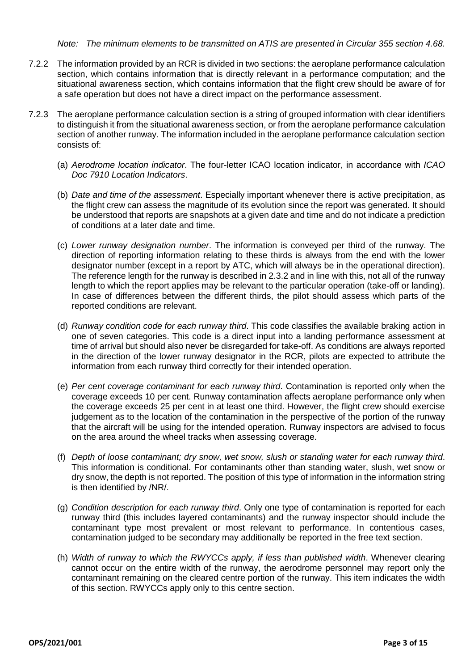#### *Note: The minimum elements to be transmitted on ATIS are presented in Circular 355 section 4.68.*

- 7.2.2 The information provided by an RCR is divided in two sections: the aeroplane performance calculation section, which contains information that is directly relevant in a performance computation; and the situational awareness section, which contains information that the flight crew should be aware of for a safe operation but does not have a direct impact on the performance assessment.
- 7.2.3 The aeroplane performance calculation section is a string of grouped information with clear identifiers to distinguish it from the situational awareness section, or from the aeroplane performance calculation section of another runway. The information included in the aeroplane performance calculation section consists of:
	- (a) *Aerodrome location indicator*. The four-letter ICAO location indicator, in accordance with *ICAO Doc 7910 Location Indicators*.
	- (b) *Date and time of the assessment*. Especially important whenever there is active precipitation, as the flight crew can assess the magnitude of its evolution since the report was generated. It should be understood that reports are snapshots at a given date and time and do not indicate a prediction of conditions at a later date and time.
	- (c) *Lower runway designation number*. The information is conveyed per third of the runway. The direction of reporting information relating to these thirds is always from the end with the lower designator number (except in a report by ATC, which will always be in the operational direction). The reference length for the runway is described in 2.3.2 and in line with this, not all of the runway length to which the report applies may be relevant to the particular operation (take-off or landing). In case of differences between the different thirds, the pilot should assess which parts of the reported conditions are relevant.
	- (d) *Runway condition code for each runway third*. This code classifies the available braking action in one of seven categories. This code is a direct input into a landing performance assessment at time of arrival but should also never be disregarded for take-off. As conditions are always reported in the direction of the lower runway designator in the RCR, pilots are expected to attribute the information from each runway third correctly for their intended operation.
	- (e) *Per cent coverage contaminant for each runway third*. Contamination is reported only when the coverage exceeds 10 per cent. Runway contamination affects aeroplane performance only when the coverage exceeds 25 per cent in at least one third. However, the flight crew should exercise judgement as to the location of the contamination in the perspective of the portion of the runway that the aircraft will be using for the intended operation. Runway inspectors are advised to focus on the area around the wheel tracks when assessing coverage.
	- (f) *Depth of loose contaminant; dry snow, wet snow, slush or standing water for each runway third*. This information is conditional. For contaminants other than standing water, slush, wet snow or dry snow, the depth is not reported. The position of this type of information in the information string is then identified by /NR/.
	- (g) *Condition description for each runway third*. Only one type of contamination is reported for each runway third (this includes layered contaminants) and the runway inspector should include the contaminant type most prevalent or most relevant to performance. In contentious cases, contamination judged to be secondary may additionally be reported in the free text section.
	- (h) *Width of runway to which the RWYCCs apply, if less than published width*. Whenever clearing cannot occur on the entire width of the runway, the aerodrome personnel may report only the contaminant remaining on the cleared centre portion of the runway. This item indicates the width of this section. RWYCCs apply only to this centre section.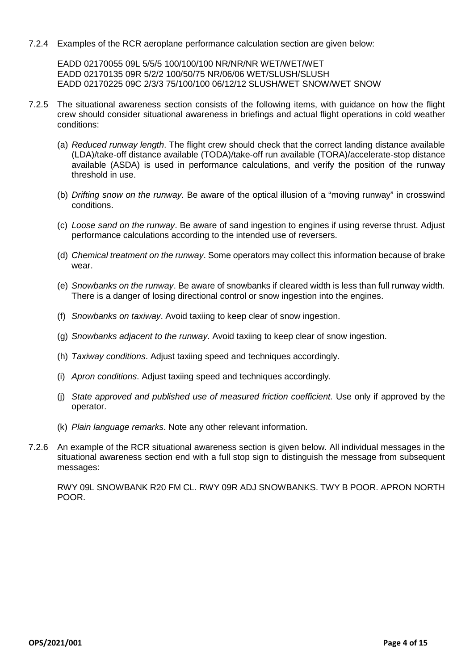7.2.4 Examples of the RCR aeroplane performance calculation section are given below:

EADD 02170055 09L 5/5/5 100/100/100 NR/NR/NR WET/WET/WET EADD 02170135 09R 5/2/2 100/50/75 NR/06/06 WET/SLUSH/SLUSH EADD 02170225 09C 2/3/3 75/100/100 06/12/12 SLUSH/WET SNOW/WET SNOW

- 7.2.5 The situational awareness section consists of the following items, with guidance on how the flight crew should consider situational awareness in briefings and actual flight operations in cold weather conditions:
	- (a) *Reduced runway length*. The flight crew should check that the correct landing distance available (LDA)/take-off distance available (TODA)/take-off run available (TORA)/accelerate-stop distance available (ASDA) is used in performance calculations, and verify the position of the runway threshold in use.
	- (b) *Drifting snow on the runway*. Be aware of the optical illusion of a "moving runway" in crosswind conditions.
	- (c) *Loose sand on the runway*. Be aware of sand ingestion to engines if using reverse thrust. Adjust performance calculations according to the intended use of reversers.
	- (d) *Chemical treatment on the runway*. Some operators may collect this information because of brake wear.
	- (e) *Snowbanks on the runway*. Be aware of snowbanks if cleared width is less than full runway width. There is a danger of losing directional control or snow ingestion into the engines.
	- (f) *Snowbanks on taxiway*. Avoid taxiing to keep clear of snow ingestion.
	- (g) *Snowbanks adjacent to the runway*. Avoid taxiing to keep clear of snow ingestion.
	- (h) *Taxiway conditions*. Adjust taxiing speed and techniques accordingly.
	- (i) *Apron conditions*. Adjust taxiing speed and techniques accordingly.
	- (j) *State approved and published use of measured friction coefficient.* Use only if approved by the operator.
	- (k) *Plain language remarks*. Note any other relevant information.
- 7.2.6 An example of the RCR situational awareness section is given below. All individual messages in the situational awareness section end with a full stop sign to distinguish the message from subsequent messages:

RWY 09L SNOWBANK R20 FM CL. RWY 09R ADJ SNOWBANKS. TWY B POOR. APRON NORTH POOR.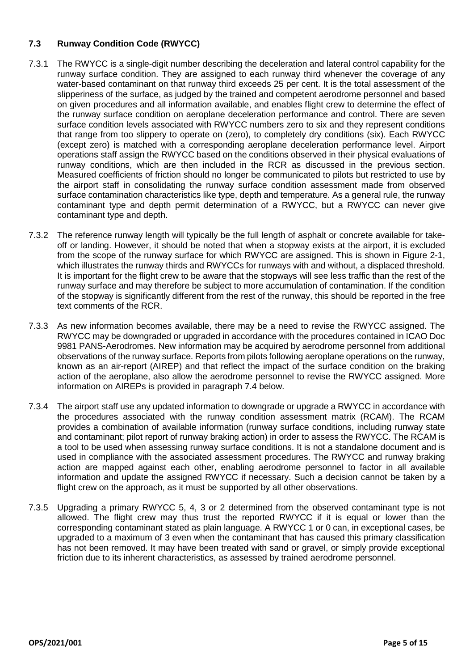# **7.3 Runway Condition Code (RWYCC)**

- 7.3.1 The RWYCC is a single-digit number describing the deceleration and lateral control capability for the runway surface condition. They are assigned to each runway third whenever the coverage of any water-based contaminant on that runway third exceeds 25 per cent. It is the total assessment of the slipperiness of the surface, as judged by the trained and competent aerodrome personnel and based on given procedures and all information available, and enables flight crew to determine the effect of the runway surface condition on aeroplane deceleration performance and control. There are seven surface condition levels associated with RWYCC numbers zero to six and they represent conditions that range from too slippery to operate on (zero), to completely dry conditions (six). Each RWYCC (except zero) is matched with a corresponding aeroplane deceleration performance level. Airport operations staff assign the RWYCC based on the conditions observed in their physical evaluations of runway conditions, which are then included in the RCR as discussed in the previous section. Measured coefficients of friction should no longer be communicated to pilots but restricted to use by the airport staff in consolidating the runway surface condition assessment made from observed surface contamination characteristics like type, depth and temperature. As a general rule, the runway contaminant type and depth permit determination of a RWYCC, but a RWYCC can never give contaminant type and depth.
- 7.3.2 The reference runway length will typically be the full length of asphalt or concrete available for takeoff or landing. However, it should be noted that when a stopway exists at the airport, it is excluded from the scope of the runway surface for which RWYCC are assigned. This is shown in Figure 2-1, which illustrates the runway thirds and RWYCCs for runways with and without, a displaced threshold. It is important for the flight crew to be aware that the stopways will see less traffic than the rest of the runway surface and may therefore be subject to more accumulation of contamination. If the condition of the stopway is significantly different from the rest of the runway, this should be reported in the free text comments of the RCR.
- 7.3.3 As new information becomes available, there may be a need to revise the RWYCC assigned. The RWYCC may be downgraded or upgraded in accordance with the procedures contained in ICAO Doc 9981 PANS-Aerodromes. New information may be acquired by aerodrome personnel from additional observations of the runway surface. Reports from pilots following aeroplane operations on the runway, known as an air-report (AIREP) and that reflect the impact of the surface condition on the braking action of the aeroplane, also allow the aerodrome personnel to revise the RWYCC assigned. More information on AIREPs is provided in paragraph 7.4 below.
- 7.3.4 The airport staff use any updated information to downgrade or upgrade a RWYCC in accordance with the procedures associated with the runway condition assessment matrix (RCAM). The RCAM provides a combination of available information (runway surface conditions, including runway state and contaminant; pilot report of runway braking action) in order to assess the RWYCC. The RCAM is a tool to be used when assessing runway surface conditions. It is not a standalone document and is used in compliance with the associated assessment procedures. The RWYCC and runway braking action are mapped against each other, enabling aerodrome personnel to factor in all available information and update the assigned RWYCC if necessary. Such a decision cannot be taken by a flight crew on the approach, as it must be supported by all other observations.
- 7.3.5 Upgrading a primary RWYCC 5, 4, 3 or 2 determined from the observed contaminant type is not allowed. The flight crew may thus trust the reported RWYCC if it is equal or lower than the corresponding contaminant stated as plain language. A RWYCC 1 or 0 can, in exceptional cases, be upgraded to a maximum of 3 even when the contaminant that has caused this primary classification has not been removed. It may have been treated with sand or gravel, or simply provide exceptional friction due to its inherent characteristics, as assessed by trained aerodrome personnel.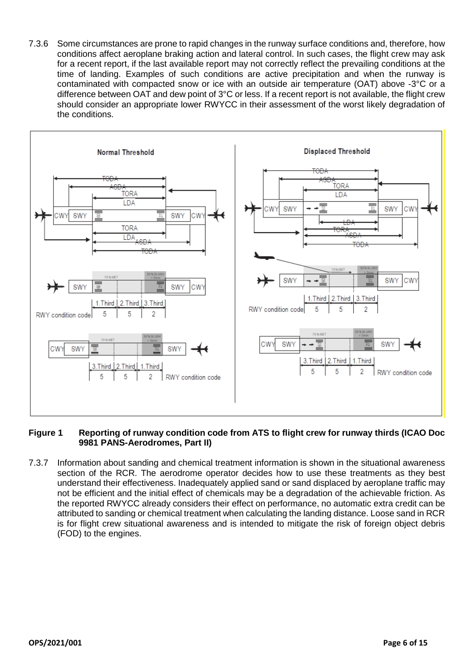7.3.6 Some circumstances are prone to rapid changes in the runway surface conditions and, therefore, how conditions affect aeroplane braking action and lateral control. In such cases, the flight crew may ask for a recent report, if the last available report may not correctly reflect the prevailing conditions at the time of landing. Examples of such conditions are active precipitation and when the runway is contaminated with compacted snow or ice with an outside air temperature (OAT) above -3°C or a difference between OAT and dew point of 3°C or less. If a recent report is not available, the flight crew should consider an appropriate lower RWYCC in their assessment of the worst likely degradation of the conditions.



# **Figure 1 Reporting of runway condition code from ATS to flight crew for runway thirds (ICAO Doc 9981 PANS-Aerodromes, Part II)**

7.3.7 Information about sanding and chemical treatment information is shown in the situational awareness section of the RCR. The aerodrome operator decides how to use these treatments as they best understand their effectiveness. Inadequately applied sand or sand displaced by aeroplane traffic may not be efficient and the initial effect of chemicals may be a degradation of the achievable friction. As the reported RWYCC already considers their effect on performance, no automatic extra credit can be attributed to sanding or chemical treatment when calculating the landing distance. Loose sand in RCR is for flight crew situational awareness and is intended to mitigate the risk of foreign object debris (FOD) to the engines.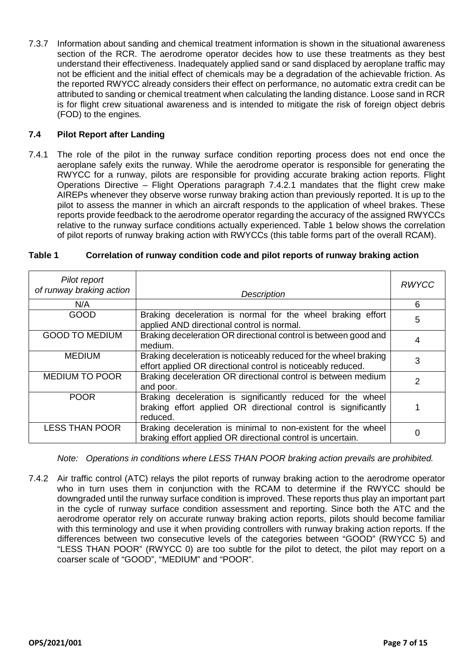7.3.7 Information about sanding and chemical treatment information is shown in the situational awareness section of the RCR. The aerodrome operator decides how to use these treatments as they best understand their effectiveness. Inadequately applied sand or sand displaced by aeroplane traffic may not be efficient and the initial effect of chemicals may be a degradation of the achievable friction. As the reported RWYCC already considers their effect on performance, no automatic extra credit can be attributed to sanding or chemical treatment when calculating the landing distance. Loose sand in RCR is for flight crew situational awareness and is intended to mitigate the risk of foreign object debris (FOD) to the engines.

### **7.4 Pilot Report after Landing**

7.4.1 The role of the pilot in the runway surface condition reporting process does not end once the aeroplane safely exits the runway. While the aerodrome operator is responsible for generating the RWYCC for a runway, pilots are responsible for providing accurate braking action reports. Flight Operations Directive – Flight Operations paragraph 7.4.2.1 mandates that the flight crew make AIREPs whenever they observe worse runway braking action than previously reported. It is up to the pilot to assess the manner in which an aircraft responds to the application of wheel brakes. These reports provide feedback to the aerodrome operator regarding the accuracy of the assigned RWYCCs relative to the runway surface conditions actually experienced. Table 1 below shows the correlation of pilot reports of runway braking action with RWYCCs (this table forms part of the overall RCAM).

| Pilot report<br>of runway braking action | <b>Description</b>                                                                                                                        | <b>RWYCC</b> |
|------------------------------------------|-------------------------------------------------------------------------------------------------------------------------------------------|--------------|
| N/A                                      |                                                                                                                                           | 6            |
| GOOD                                     | Braking deceleration is normal for the wheel braking effort<br>applied AND directional control is normal.                                 | 5            |
| <b>GOOD TO MEDIUM</b>                    | Braking deceleration OR directional control is between good and<br>medium.                                                                |              |
| <b>MEDIUM</b>                            | Braking deceleration is noticeably reduced for the wheel braking<br>effort applied OR directional control is noticeably reduced.          | 3            |
| <b>MEDIUM TO POOR</b>                    | Braking deceleration OR directional control is between medium<br>and poor.                                                                | 2            |
| <b>POOR</b>                              | Braking deceleration is significantly reduced for the wheel<br>braking effort applied OR directional control is significantly<br>reduced. |              |
| <b>LESS THAN POOR</b>                    | Braking deceleration is minimal to non-existent for the wheel<br>braking effort applied OR directional control is uncertain.              | 0            |

#### **Table 1 Correlation of runway condition code and pilot reports of runway braking action**

*Note: Operations in conditions where LESS THAN POOR braking action prevails are prohibited.*

7.4.2 Air traffic control (ATC) relays the pilot reports of runway braking action to the aerodrome operator who in turn uses them in conjunction with the RCAM to determine if the RWYCC should be downgraded until the runway surface condition is improved. These reports thus play an important part in the cycle of runway surface condition assessment and reporting. Since both the ATC and the aerodrome operator rely on accurate runway braking action reports, pilots should become familiar with this terminology and use it when providing controllers with runway braking action reports. If the differences between two consecutive levels of the categories between "GOOD" (RWYCC 5) and "LESS THAN POOR" (RWYCC 0) are too subtle for the pilot to detect, the pilot may report on a coarser scale of "GOOD", "MEDIUM" and "POOR".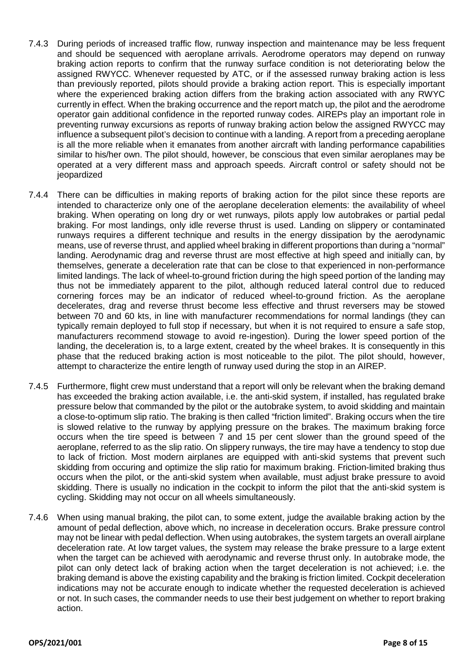- 7.4.3 During periods of increased traffic flow, runway inspection and maintenance may be less frequent and should be sequenced with aeroplane arrivals. Aerodrome operators may depend on runway braking action reports to confirm that the runway surface condition is not deteriorating below the assigned RWYCC. Whenever requested by ATC, or if the assessed runway braking action is less than previously reported, pilots should provide a braking action report. This is especially important where the experienced braking action differs from the braking action associated with any RWYC currently in effect. When the braking occurrence and the report match up, the pilot and the aerodrome operator gain additional confidence in the reported runway codes. AIREPs play an important role in preventing runway excursions as reports of runway braking action below the assigned RWYCC may influence a subsequent pilot's decision to continue with a landing. A report from a preceding aeroplane is all the more reliable when it emanates from another aircraft with landing performance capabilities similar to his/her own. The pilot should, however, be conscious that even similar aeroplanes may be operated at a very different mass and approach speeds. Aircraft control or safety should not be jeopardized
- 7.4.4 There can be difficulties in making reports of braking action for the pilot since these reports are intended to characterize only one of the aeroplane deceleration elements: the availability of wheel braking. When operating on long dry or wet runways, pilots apply low autobrakes or partial pedal braking. For most landings, only idle reverse thrust is used. Landing on slippery or contaminated runways requires a different technique and results in the energy dissipation by the aerodynamic means, use of reverse thrust, and applied wheel braking in different proportions than during a "normal" landing. Aerodynamic drag and reverse thrust are most effective at high speed and initially can, by themselves, generate a deceleration rate that can be close to that experienced in non-performance limited landings. The lack of wheel-to-ground friction during the high speed portion of the landing may thus not be immediately apparent to the pilot, although reduced lateral control due to reduced cornering forces may be an indicator of reduced wheel-to-ground friction. As the aeroplane decelerates, drag and reverse thrust become less effective and thrust reversers may be stowed between 70 and 60 kts, in line with manufacturer recommendations for normal landings (they can typically remain deployed to full stop if necessary, but when it is not required to ensure a safe stop, manufacturers recommend stowage to avoid re-ingestion). During the lower speed portion of the landing, the deceleration is, to a large extent, created by the wheel brakes. It is consequently in this phase that the reduced braking action is most noticeable to the pilot. The pilot should, however, attempt to characterize the entire length of runway used during the stop in an AIREP.
- 7.4.5 Furthermore, flight crew must understand that a report will only be relevant when the braking demand has exceeded the braking action available, i.e. the anti-skid system, if installed, has regulated brake pressure below that commanded by the pilot or the autobrake system, to avoid skidding and maintain a close-to-optimum slip ratio. The braking is then called "friction limited". Braking occurs when the tire is slowed relative to the runway by applying pressure on the brakes. The maximum braking force occurs when the tire speed is between 7 and 15 per cent slower than the ground speed of the aeroplane, referred to as the slip ratio. On slippery runways, the tire may have a tendency to stop due to lack of friction. Most modern airplanes are equipped with anti-skid systems that prevent such skidding from occuring and optimize the slip ratio for maximum braking. Friction-limited braking thus occurs when the pilot, or the anti-skid system when available, must adjust brake pressure to avoid skidding. There is usually no indication in the cockpit to inform the pilot that the anti-skid system is cycling. Skidding may not occur on all wheels simultaneously.
- 7.4.6 When using manual braking, the pilot can, to some extent, judge the available braking action by the amount of pedal deflection, above which, no increase in deceleration occurs. Brake pressure control may not be linear with pedal deflection. When using autobrakes, the system targets an overall airplane deceleration rate. At low target values, the system may release the brake pressure to a large extent when the target can be achieved with aerodynamic and reverse thrust only. In autobrake mode, the pilot can only detect lack of braking action when the target deceleration is not achieved; i.e. the braking demand is above the existing capability and the braking is friction limited. Cockpit deceleration indications may not be accurate enough to indicate whether the requested deceleration is achieved or not. In such cases, the commander needs to use their best judgement on whether to report braking action.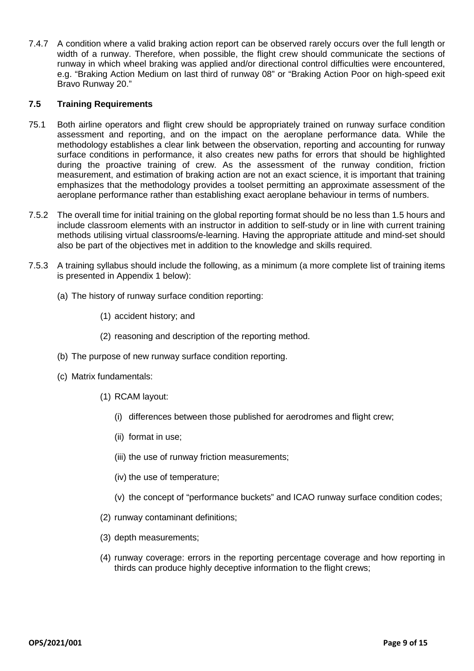7.4.7 A condition where a valid braking action report can be observed rarely occurs over the full length or width of a runway. Therefore, when possible, the flight crew should communicate the sections of runway in which wheel braking was applied and/or directional control difficulties were encountered, e.g. "Braking Action Medium on last third of runway 08" or "Braking Action Poor on high-speed exit Bravo Runway 20."

# **7.5 Training Requirements**

- 75.1 Both airline operators and flight crew should be appropriately trained on runway surface condition assessment and reporting, and on the impact on the aeroplane performance data. While the methodology establishes a clear link between the observation, reporting and accounting for runway surface conditions in performance, it also creates new paths for errors that should be highlighted during the proactive training of crew. As the assessment of the runway condition, friction measurement, and estimation of braking action are not an exact science, it is important that training emphasizes that the methodology provides a toolset permitting an approximate assessment of the aeroplane performance rather than establishing exact aeroplane behaviour in terms of numbers.
- 7.5.2 The overall time for initial training on the global reporting format should be no less than 1.5 hours and include classroom elements with an instructor in addition to self-study or in line with current training methods utilising virtual classrooms/e-learning. Having the appropriate attitude and mind-set should also be part of the objectives met in addition to the knowledge and skills required.
- 7.5.3 A training syllabus should include the following, as a minimum (a more complete list of training items is presented in Appendix 1 below):
	- (a) The history of runway surface condition reporting:
		- (1) accident history; and
		- (2) reasoning and description of the reporting method.
	- (b) The purpose of new runway surface condition reporting.
	- (c) Matrix fundamentals:
		- (1) RCAM layout:
			- (i) differences between those published for aerodromes and flight crew;
			- (ii) format in use;
			- (iii) the use of runway friction measurements;
			- (iv) the use of temperature;
			- (v) the concept of "performance buckets" and ICAO runway surface condition codes;
		- (2) runway contaminant definitions;
		- (3) depth measurements;
		- (4) runway coverage: errors in the reporting percentage coverage and how reporting in thirds can produce highly deceptive information to the flight crews;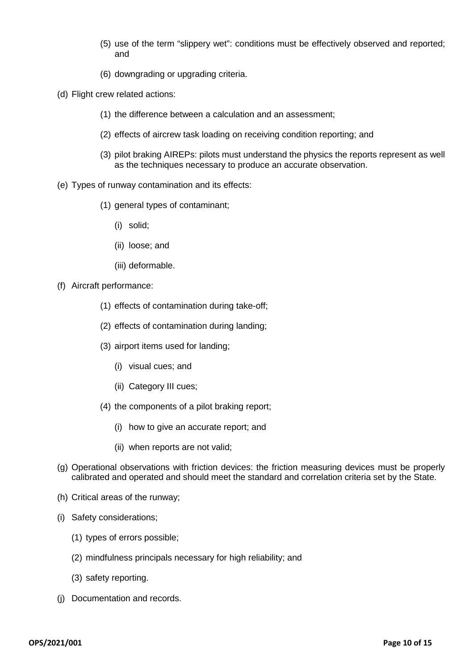- (5) use of the term "slippery wet": conditions must be effectively observed and reported; and
- (6) downgrading or upgrading criteria.
- (d) Flight crew related actions:
	- (1) the difference between a calculation and an assessment;
	- (2) effects of aircrew task loading on receiving condition reporting; and
	- (3) pilot braking AIREPs: pilots must understand the physics the reports represent as well as the techniques necessary to produce an accurate observation.
- (e) Types of runway contamination and its effects:
	- (1) general types of contaminant;
		- (i) solid;
		- (ii) loose; and
		- (iii) deformable.
- (f) Aircraft performance:
	- (1) effects of contamination during take-off;
	- (2) effects of contamination during landing;
	- (3) airport items used for landing;
		- (i) visual cues; and
		- (ii) Category III cues;
	- (4) the components of a pilot braking report;
		- (i) how to give an accurate report; and
		- (ii) when reports are not valid;
- (g) Operational observations with friction devices: the friction measuring devices must be properly calibrated and operated and should meet the standard and correlation criteria set by the State.
- (h) Critical areas of the runway;
- (i) Safety considerations;
	- (1) types of errors possible;
	- (2) mindfulness principals necessary for high reliability; and
	- (3) safety reporting.
- (j) Documentation and records.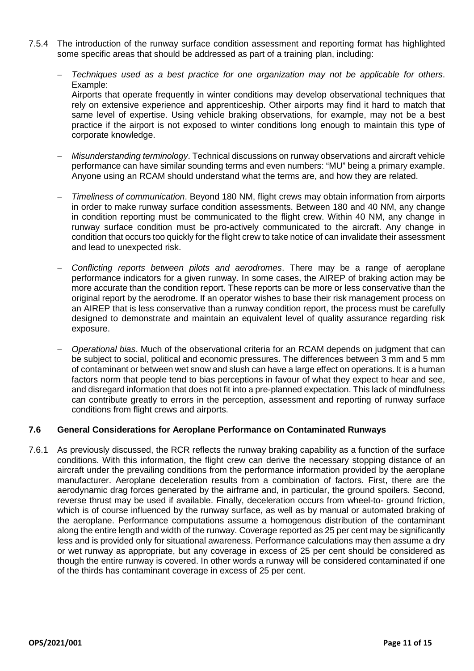- 7.5.4 The introduction of the runway surface condition assessment and reporting format has highlighted some specific areas that should be addressed as part of a training plan, including:
	- − *Techniques used as a best practice for one organization may not be applicable for others*. Example: Airports that operate frequently in winter conditions may develop observational techniques that rely on extensive experience and apprenticeship. Other airports may find it hard to match that same level of expertise. Using vehicle braking observations, for example, may not be a best practice if the airport is not exposed to winter conditions long enough to maintain this type of corporate knowledge.
	- − *Misunderstanding terminology*. Technical discussions on runway observations and aircraft vehicle performance can have similar sounding terms and even numbers: "MU" being a primary example. Anyone using an RCAM should understand what the terms are, and how they are related.
	- − *Timeliness of communication*. Beyond 180 NM, flight crews may obtain information from airports in order to make runway surface condition assessments. Between 180 and 40 NM, any change in condition reporting must be communicated to the flight crew. Within 40 NM, any change in runway surface condition must be pro-actively communicated to the aircraft. Any change in condition that occurs too quickly for the flight crew to take notice of can invalidate their assessment and lead to unexpected risk.
	- − *Conflicting reports between pilots and aerodromes*. There may be a range of aeroplane performance indicators for a given runway. In some cases, the AIREP of braking action may be more accurate than the condition report. These reports can be more or less conservative than the original report by the aerodrome. If an operator wishes to base their risk management process on an AIREP that is less conservative than a runway condition report, the process must be carefully designed to demonstrate and maintain an equivalent level of quality assurance regarding risk exposure.
	- − *Operational bias*. Much of the observational criteria for an RCAM depends on judgment that can be subject to social, political and economic pressures. The differences between 3 mm and 5 mm of contaminant or between wet snow and slush can have a large effect on operations. It is a human factors norm that people tend to bias perceptions in favour of what they expect to hear and see, and disregard information that does not fit into a pre-planned expectation. This lack of mindfulness can contribute greatly to errors in the perception, assessment and reporting of runway surface conditions from flight crews and airports.

# **7.6 General Considerations for Aeroplane Performance on Contaminated Runways**

7.6.1 As previously discussed, the RCR reflects the runway braking capability as a function of the surface conditions. With this information, the flight crew can derive the necessary stopping distance of an aircraft under the prevailing conditions from the performance information provided by the aeroplane manufacturer. Aeroplane deceleration results from a combination of factors. First, there are the aerodynamic drag forces generated by the airframe and, in particular, the ground spoilers. Second, reverse thrust may be used if available. Finally, deceleration occurs from wheel-to- ground friction, which is of course influenced by the runway surface, as well as by manual or automated braking of the aeroplane. Performance computations assume a homogenous distribution of the contaminant along the entire length and width of the runway. Coverage reported as 25 per cent may be significantly less and is provided only for situational awareness. Performance calculations may then assume a dry or wet runway as appropriate, but any coverage in excess of 25 per cent should be considered as though the entire runway is covered. In other words a runway will be considered contaminated if one of the thirds has contaminant coverage in excess of 25 per cent.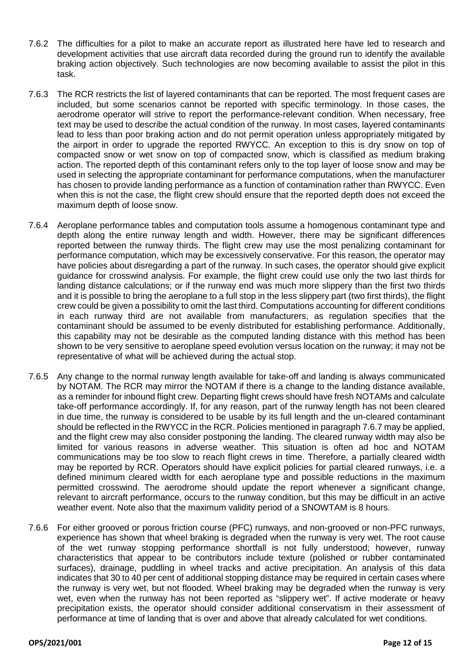- 7.6.2 The difficulties for a pilot to make an accurate report as illustrated here have led to research and development activities that use aircraft data recorded during the ground run to identify the available braking action objectively. Such technologies are now becoming available to assist the pilot in this task.
- 7.6.3 The RCR restricts the list of layered contaminants that can be reported. The most frequent cases are included, but some scenarios cannot be reported with specific terminology. In those cases, the aerodrome operator will strive to report the performance-relevant condition. When necessary, free text may be used to describe the actual condition of the runway. In most cases, layered contaminants lead to less than poor braking action and do not permit operation unless appropriately mitigated by the airport in order to upgrade the reported RWYCC. An exception to this is dry snow on top of compacted snow or wet snow on top of compacted snow, which is classified as medium braking action. The reported depth of this contaminant refers only to the top layer of loose snow and may be used in selecting the appropriate contaminant for performance computations, when the manufacturer has chosen to provide landing performance as a function of contamination rather than RWYCC. Even when this is not the case, the flight crew should ensure that the reported depth does not exceed the maximum depth of loose snow.
- 7.6.4 Aeroplane performance tables and computation tools assume a homogenous contaminant type and depth along the entire runway length and width. However, there may be significant differences reported between the runway thirds. The flight crew may use the most penalizing contaminant for performance computation, which may be excessively conservative. For this reason, the operator may have policies about disregarding a part of the runway. In such cases, the operator should give explicit guidance for crosswind analysis. For example, the flight crew could use only the two last thirds for landing distance calculations; or if the runway end was much more slippery than the first two thirds and it is possible to bring the aeroplane to a full stop in the less slippery part (two first thirds), the flight crew could be given a possibility to omit the last third. Computations accounting for different conditions in each runway third are not available from manufacturers, as regulation specifies that the contaminant should be assumed to be evenly distributed for establishing performance. Additionally, this capability may not be desirable as the computed landing distance with this method has been shown to be very sensitive to aeroplane speed evolution versus location on the runway; it may not be representative of what will be achieved during the actual stop.
- 7.6.5 Any change to the normal runway length available for take-off and landing is always communicated by NOTAM. The RCR may mirror the NOTAM if there is a change to the landing distance available, as a reminder for inbound flight crew. Departing flight crews should have fresh NOTAMs and calculate take-off performance accordingly. If, for any reason, part of the runway length has not been cleared in due time, the runway is considered to be usable by its full length and the un-cleared contaminant should be reflected in the RWYCC in the RCR. Policies mentioned in paragraph 7.6.7 may be applied, and the flight crew may also consider postponing the landing. The cleared runway width may also be limited for various reasons in adverse weather. This situation is often ad hoc and NOTAM communications may be too slow to reach flight crews in time. Therefore, a partially cleared width may be reported by RCR. Operators should have explicit policies for partial cleared runways, i.e. a defined minimum cleared width for each aeroplane type and possible reductions in the maximum permitted crosswind. The aerodrome should update the report whenever a significant change, relevant to aircraft performance, occurs to the runway condition, but this may be difficult in an active weather event. Note also that the maximum validity period of a SNOWTAM is 8 hours.
- 7.6.6 For either grooved or porous friction course (PFC) runways, and non-grooved or non-PFC runways, experience has shown that wheel braking is degraded when the runway is very wet. The root cause of the wet runway stopping performance shortfall is not fully understood; however, runway characteristics that appear to be contributors include texture (polished or rubber contaminated surfaces), drainage, puddling in wheel tracks and active precipitation. An analysis of this data indicates that 30 to 40 per cent of additional stopping distance may be required in certain cases where the runway is very wet, but not flooded. Wheel braking may be degraded when the runway is very wet, even when the runway has not been reported as "slippery wet". If active moderate or heavy precipitation exists, the operator should consider additional conservatism in their assessment of performance at time of landing that is over and above that already calculated for wet conditions.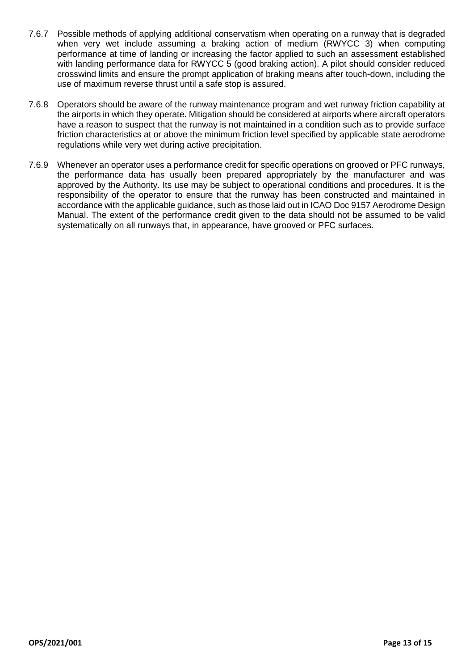- 7.6.7 Possible methods of applying additional conservatism when operating on a runway that is degraded when very wet include assuming a braking action of medium (RWYCC 3) when computing performance at time of landing or increasing the factor applied to such an assessment established with landing performance data for RWYCC 5 (good braking action). A pilot should consider reduced crosswind limits and ensure the prompt application of braking means after touch-down, including the use of maximum reverse thrust until a safe stop is assured.
- 7.6.8 Operators should be aware of the runway maintenance program and wet runway friction capability at the airports in which they operate. Mitigation should be considered at airports where aircraft operators have a reason to suspect that the runway is not maintained in a condition such as to provide surface friction characteristics at or above the minimum friction level specified by applicable state aerodrome regulations while very wet during active precipitation.
- 7.6.9 Whenever an operator uses a performance credit for specific operations on grooved or PFC runways, the performance data has usually been prepared appropriately by the manufacturer and was approved by the Authority. Its use may be subject to operational conditions and procedures. It is the responsibility of the operator to ensure that the runway has been constructed and maintained in accordance with the applicable guidance, such as those laid out in ICAO Doc 9157 Aerodrome Design Manual. The extent of the performance credit given to the data should not be assumed to be valid systematically on all runways that, in appearance, have grooved or PFC surfaces.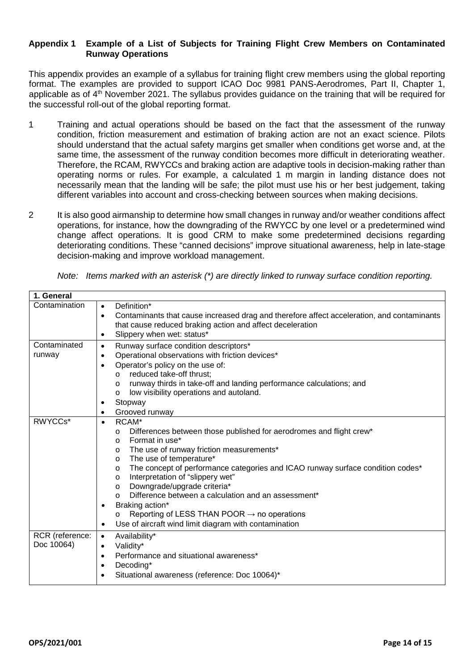### **Appendix 1 Example of a List of Subjects for Training Flight Crew Members on Contaminated Runway Operations**

This appendix provides an example of a syllabus for training flight crew members using the global reporting format. The examples are provided to support ICAO Doc 9981 PANS-Aerodromes, Part II, Chapter 1, applicable as of  $4<sup>th</sup>$  November 2021. The syllabus provides guidance on the training that will be required for the successful roll-out of the global reporting format.

- 1 Training and actual operations should be based on the fact that the assessment of the runway condition, friction measurement and estimation of braking action are not an exact science. Pilots should understand that the actual safety margins get smaller when conditions get worse and, at the same time, the assessment of the runway condition becomes more difficult in deteriorating weather. Therefore, the RCAM, RWYCCs and braking action are adaptive tools in decision-making rather than operating norms or rules. For example, a calculated 1 m margin in landing distance does not necessarily mean that the landing will be safe; the pilot must use his or her best judgement, taking different variables into account and cross-checking between sources when making decisions.
- 2 It is also good airmanship to determine how small changes in runway and/or weather conditions affect operations, for instance, how the downgrading of the RWYCC by one level or a predetermined wind change affect operations. It is good CRM to make some predetermined decisions regarding deteriorating conditions. These "canned decisions" improve situational awareness, help in late-stage decision-making and improve workload management.

|  | Note: Items marked with an asterisk (*) are directly linked to runway surface condition reporting. |  |  |  |  |  |  |  |
|--|----------------------------------------------------------------------------------------------------|--|--|--|--|--|--|--|
|--|----------------------------------------------------------------------------------------------------|--|--|--|--|--|--|--|

| 1. General                    |                                                                                                                                                                      |
|-------------------------------|----------------------------------------------------------------------------------------------------------------------------------------------------------------------|
| Contamination                 | Definition*<br>$\bullet$                                                                                                                                             |
|                               | Contaminants that cause increased drag and therefore affect acceleration, and contaminants<br>$\bullet$<br>that cause reduced braking action and affect deceleration |
|                               | Slippery when wet: status*<br>$\bullet$                                                                                                                              |
| Contaminated                  | Runway surface condition descriptors*<br>٠                                                                                                                           |
| runway                        | Operational observations with friction devices*<br>$\bullet$                                                                                                         |
|                               | Operator's policy on the use of:<br>$\bullet$                                                                                                                        |
|                               | reduced take-off thrust;<br>$\circ$                                                                                                                                  |
|                               | runway thirds in take-off and landing performance calculations; and<br>$\circ$                                                                                       |
|                               | low visibility operations and autoland.<br>$\circ$                                                                                                                   |
|                               | Stopway<br>٠                                                                                                                                                         |
|                               | Grooved runway<br>$\bullet$                                                                                                                                          |
| RWYCCs*                       | RCAM*<br>$\bullet$                                                                                                                                                   |
|                               | Differences between those published for aerodromes and flight crew*<br>$\circ$                                                                                       |
|                               | Format in use*<br>$\circ$                                                                                                                                            |
|                               | The use of runway friction measurements*<br>$\circ$                                                                                                                  |
|                               | The use of temperature*<br>$\circ$                                                                                                                                   |
|                               | The concept of performance categories and ICAO runway surface condition codes*<br>$\circ$<br>Interpretation of "slippery wet"                                        |
|                               | $\circ$<br>Downgrade/upgrade criteria*<br>$\circ$                                                                                                                    |
|                               | Difference between a calculation and an assessment*<br>$\circ$                                                                                                       |
|                               | Braking action*<br>$\bullet$                                                                                                                                         |
|                               | Reporting of LESS THAN POOR $\rightarrow$ no operations<br>$\circ$                                                                                                   |
|                               | Use of aircraft wind limit diagram with contamination<br>$\bullet$                                                                                                   |
|                               |                                                                                                                                                                      |
| RCR (reference:<br>Doc 10064) | Availability*<br>$\bullet$                                                                                                                                           |
|                               | Validity*<br>$\bullet$                                                                                                                                               |
|                               | Performance and situational awareness*<br>$\bullet$                                                                                                                  |
|                               | Decoding*<br>$\bullet$                                                                                                                                               |
|                               | Situational awareness (reference: Doc 10064)*<br>$\bullet$                                                                                                           |